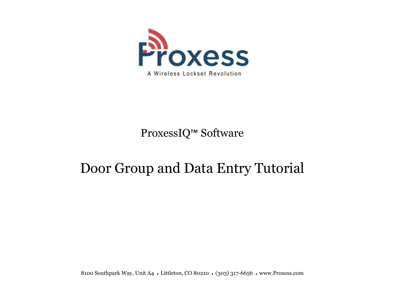

## ProxessIQ™ Software

# Door Group and Data Entry Tutorial

8100 Southpark Way, Unit A4 • Littleton, CO 80210 • (303) 317-6656 • www.Proxess.com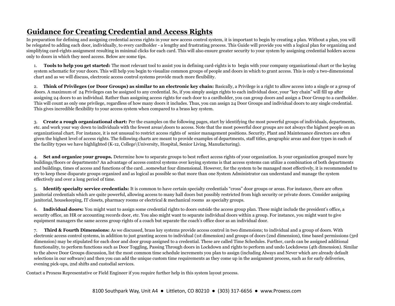## **Guidance for Creating Credential and Access Rights**

In preparation for defining and assigning credential access rights in your new access control system, it is important to begin by creating a plan. Without a plan, you will be relegated to adding each door, individually, to every cardholder - a lengthy and frustrating process. This Guide will provide you with a logical plan for organizing and simplifying card-rights assignment resulting in minimal clicks for each card. This will also ensure greater security to your system by assigning credential holders access only to doors in which they need access. Below are some tips.

1. **Tools to help you get started:** The most relevant tool to assist you in defining card-rights is to begin with your company organizational chart or the keying system schematic for your doors. This will help you begin to visualize common groups of people and doors in which to grant access. This is only a two-dimensional chart and as we will discuss, electronic access control systems provide much more flexibility.

2. **Think of Privileges (or Door Groups) as similar to an electronic key chain:** Basically, a Privilege is a right to allow access into a single or a group of doors. A maximum of 24 Privileges can be assigned to any credential. So, if you simply assign rights to each individual door, your "key chain" will fill up after assigning 24 doors to an individual. Rather than assigning access rights for each door to a cardholder, you can group doors and assign a Door Group to a cardholder. This will count as only one privilege, regardless of how many doors it includes. Thus, you can assign 24 Door Groups and individual doors to any single credential. This gives incredible flexibility to your access system when compared to a brass key system.

3. **Create a rough organizational chart:** Per the examples on the following pages, start by identifying the most powerful groups of individuals, departments, etc. and work your way down to individuals with the fewest areas\doors to access. Note that the most powerful door groups are not always the highest people on an organizational chart. For instance, it is not unusual to restrict access rights of senior management positions. Security, Plant and Maintenance directors are often given the highest level of access rights. The following charts are meant to provide examples of departments, staff titles, geographic areas and door types in each of the facility types we have highlighted (K-12, College\University, Hospital, Senior Living, Manufacturing).

4. **Set and organize your groups.** Determine how to separate groups to best reflect access rights of your organization. Is your organization grouped more by buildings/floors or departments? An advantage of access control systems over keying systems is that access systems can utilize a combination of both departments and buildings, times of access and functions of the card…somewhat four dimensional. However, for the system to be managed most effectively, it is recommended to try to keep these disparate groups organized and as logical as possible so that more than one System Administrator can understand and manage the system effectively and over a long period of time.

5. **Identify specialty service credentials:** It is common to have certain specialty credentials "cross" door groups or areas. For instance, there are often janitorial credentials which are quite powerful, allowing access to many hall doors but possibly restricted from high security or private doors. Consider assigning janitorial, housekeeping, IT closets, pharmacy rooms or electrical & mechanical rooms as specialty groups.

6. **Individual doors:** You might want to assign some credential rights to doors outside the access group plan. These might include the president's office, a security office, an HR or accounting records door, etc. You also might want to separate individual doors within a group. For instance, you might want to give equipment managers the same access group rights of a coach but separate the coach's office door as an individual door.

7. **Third & Fourth Dimensions:** As we discussed, brass key systems provide access control in two dimensions; to individual and a group of doors. With electronic access control systems, in addition to just granting access to individual (1st dimension) and groups of doors (2nd dimension), time based permissions (3rd dimension) may be stipulated for each door and door group assigned to a credential. These are called Time Schedules. Further, cards can be assigned additional functionality, to perform functions such as Door Toggling, Passing Through doors in Lockdown and rights to perform and undo Lockdowns (4th dimension). Similar to the above Door Groups discussion, list the most common time schedule increments you plan to assign (including Always and Never which are already default selections in our software) and then you can add the unique custom time requirements as they come up in the assignment process, such as for early deliveries, evening pick-ups, 2nd shifts and custodial services.

Contact a Proxess Representative or Field Engineer if you require further help in this system layout process.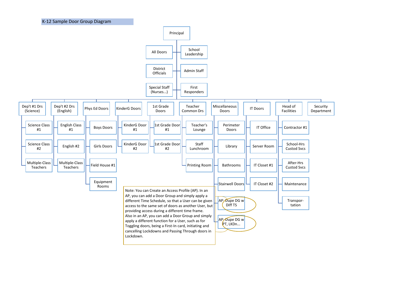

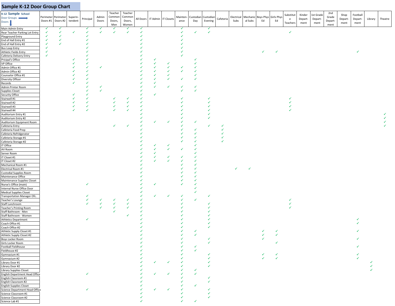## **Sample K-12 Door Group Chart**

| K-12 Sample School<br>Door Groups<br>Doors          | Perimeter Perimeter Superin- | Doors #1 Doors #2 | tendent | Principal | Admin<br>Doors | Teacher<br>Commor<br>Doors,<br>Men | Teacher<br>Common<br>Doors,<br>Women |   | All Doors IT Admin IT Closets |   | ance | Mainten- Custodian Custodian<br>Day | Evening      | Cafeteria | Subs | al Subs      | Electrical Mechanic Boys Phys Girls Phys<br>Ed | Ed         | Substitut<br>e<br>Teachers | Kinder<br>Depart-<br>ment | 1st Grade<br>Depart-<br>ment | 2nd<br>Grade<br>Depart- | Shop<br>Depart-<br>ment | Football<br>Depart-<br>ment | Library | Theatre |
|-----------------------------------------------------|------------------------------|-------------------|---------|-----------|----------------|------------------------------------|--------------------------------------|---|-------------------------------|---|------|-------------------------------------|--------------|-----------|------|--------------|------------------------------------------------|------------|----------------------------|---------------------------|------------------------------|-------------------------|-------------------------|-----------------------------|---------|---------|
| Main Admin Entry                                    | у                            | ✔                 |         | √         | ✓              | ✓                                  | √                                    | ✓ |                               |   | ✔    |                                     | ✔            |           |      |              |                                                |            |                            |                           |                              | ment                    |                         |                             |         |         |
| Rear Teacher Parking Lot Entry                      | $\checkmark$                 | ✓                 | ✔       | ✔         | $\checkmark$   | ✓                                  | ✓                                    | ✓ |                               |   | √    | √                                   | $\checkmark$ |           |      |              |                                                |            | $\checkmark$               |                           |                              |                         |                         |                             |         |         |
| Playground Entry                                    | √                            | ✓                 |         |           |                |                                    |                                      |   |                               |   |      |                                     |              |           |      |              |                                                |            |                            |                           |                              |                         |                         |                             |         |         |
| End of Hall Entry #1<br>End of Hall Entry #2        | √<br>✓                       | ✓<br>✓            |         |           |                |                                    |                                      |   |                               |   |      |                                     |              |           |      |              |                                                |            |                            |                           |                              |                         |                         |                             |         |         |
| <b>Bus Loop Entry</b>                               | ✓                            |                   |         |           |                |                                    |                                      |   |                               |   |      |                                     |              |           |      |              |                                                |            |                            |                           |                              |                         |                         |                             |         |         |
| Athletic Fields Entry                               | ✔                            |                   |         |           |                |                                    |                                      |   |                               |   |      |                                     |              |           |      |              | ✓                                              |            |                            |                           |                              |                         |                         | ✓                           |         |         |
| Cafeteria Delivery Entry                            | $\checkmark$                 |                   |         |           |                |                                    |                                      |   |                               |   |      |                                     |              |           |      |              |                                                |            |                            |                           |                              |                         |                         |                             |         |         |
| Pricipal's Office                                   |                              |                   |         |           |                |                                    |                                      |   | √                             |   |      |                                     |              |           |      |              |                                                |            |                            |                           |                              |                         |                         |                             |         |         |
| VP Office<br>Admin Office #1                        |                              |                   |         |           | ✓              |                                    |                                      |   | ✓<br>✓                        | ✔ |      |                                     |              |           |      |              |                                                |            |                            |                           |                              |                         |                         |                             |         |         |
| Admin Office #2                                     |                              |                   |         |           |                |                                    |                                      |   | ✓                             | ✓ |      | √                                   |              |           |      |              |                                                |            |                            |                           |                              |                         |                         |                             |         |         |
| Counselor Office #1                                 |                              |                   |         |           |                |                                    |                                      |   |                               |   |      |                                     |              |           |      |              |                                                |            |                            |                           |                              |                         |                         |                             |         |         |
| Diversity Officer                                   |                              |                   |         |           |                |                                    |                                      |   |                               |   |      | ✓                                   |              |           |      |              |                                                |            |                            |                           |                              |                         |                         |                             |         |         |
| Records                                             |                              |                   |         |           |                |                                    |                                      |   | ✓<br>✓                        | ✔ |      | ✔                                   |              |           |      |              |                                                |            |                            |                           |                              |                         |                         |                             |         |         |
| Admin Printer Room<br>Supplies Closet               |                              |                   |         |           | $\checkmark$   |                                    |                                      |   |                               |   | ✓    | $\checkmark$                        |              |           |      |              |                                                |            |                            |                           |                              |                         |                         |                             |         |         |
| Security Office                                     |                              |                   |         |           |                |                                    |                                      |   | ✓                             |   |      |                                     |              |           |      |              |                                                |            |                            |                           |                              |                         |                         |                             |         |         |
| Stairwell #1                                        |                              |                   |         |           |                |                                    |                                      |   |                               |   |      |                                     |              |           |      |              |                                                |            |                            |                           |                              |                         |                         |                             |         |         |
| Stairwell #2                                        |                              |                   |         | √<br>✓    |                |                                    |                                      |   |                               |   |      |                                     |              |           |      |              |                                                |            |                            |                           |                              |                         |                         |                             |         |         |
| Stairwell #3<br>Stairwell #4                        |                              |                   |         | √         |                |                                    |                                      |   |                               |   |      |                                     |              |           |      |              |                                                |            |                            |                           |                              |                         |                         |                             |         |         |
| Auditorium Entry #1                                 |                              |                   |         |           |                |                                    |                                      |   |                               |   |      |                                     |              |           |      |              |                                                |            |                            |                           |                              |                         |                         |                             |         |         |
| Auditorium Entry #2                                 |                              |                   |         |           |                |                                    |                                      |   |                               |   |      |                                     |              |           |      |              |                                                |            |                            |                           |                              |                         |                         |                             |         |         |
| Auditorium Equipment Room                           |                              |                   |         |           |                |                                    |                                      |   | ✓                             | ✓ |      | √                                   |              |           |      |              |                                                |            |                            |                           |                              |                         |                         |                             |         |         |
| Cafeteria Entry<br>Cafeteria Food Prep              |                              |                   |         |           |                | ✓                                  |                                      |   |                               |   |      | ✔                                   |              | ✓         |      |              |                                                |            |                            |                           |                              |                         |                         |                             |         |         |
| Cafeteria Refridgerator                             |                              |                   |         |           |                |                                    |                                      |   |                               |   |      |                                     |              | ✓         |      |              |                                                |            |                            |                           |                              |                         |                         |                             |         |         |
| Cafeteria Storage #1                                |                              |                   |         |           |                |                                    |                                      |   |                               |   |      |                                     |              | √         |      |              |                                                |            |                            |                           |                              |                         |                         |                             |         |         |
| Cafeteria Storage #2                                |                              |                   |         |           |                |                                    |                                      |   | ✓                             |   |      |                                     |              |           |      |              |                                                |            |                            |                           |                              |                         |                         |                             |         |         |
| IT Office<br>AV Room                                |                              |                   |         |           |                |                                    |                                      |   | ✓                             | ✓ |      | √                                   |              |           |      |              |                                                |            |                            |                           |                              |                         |                         |                             |         |         |
| Server Room                                         |                              |                   |         |           |                |                                    |                                      |   | ✓                             |   |      |                                     |              |           |      |              |                                                |            |                            |                           |                              |                         |                         |                             |         |         |
| IT Closet #1                                        |                              |                   |         |           |                |                                    |                                      |   | ✓                             | ✓ |      |                                     |              |           |      |              |                                                |            |                            |                           |                              |                         |                         |                             |         |         |
| IT Closet #2                                        |                              |                   |         |           |                |                                    |                                      |   | ✓                             | ✔ |      |                                     |              |           |      |              |                                                |            |                            |                           |                              |                         |                         |                             |         |         |
| Mechanical Room #1<br>Electrical Room #1            |                              |                   |         |           |                |                                    |                                      |   |                               |   |      |                                     |              |           | ✓    | $\checkmark$ |                                                |            |                            |                           |                              |                         |                         |                             |         |         |
| Custodial Supplies Room                             |                              |                   |         |           |                |                                    |                                      |   |                               |   |      |                                     |              |           |      |              |                                                |            |                            |                           |                              |                         |                         |                             |         |         |
| Maintenance Office                                  |                              |                   |         |           |                |                                    |                                      |   |                               |   |      |                                     |              |           |      |              |                                                |            |                            |                           |                              |                         |                         |                             |         |         |
| Maintenance Supplies Closet                         |                              |                   |         |           |                |                                    |                                      |   | ✓                             |   |      |                                     |              |           |      |              |                                                |            |                            |                           |                              |                         |                         |                             |         |         |
| Nurse's Office (main)<br>Internal Nurse Office Door |                              |                   |         |           |                |                                    |                                      |   |                               |   |      | √                                   |              |           |      |              |                                                |            |                            |                           |                              |                         |                         |                             |         |         |
| <b>Medical Supplies Closet</b>                      |                              |                   |         |           |                |                                    |                                      |   |                               |   |      | ✓                                   |              |           |      |              |                                                |            |                            |                           |                              |                         |                         |                             |         |         |
| Transportation Manager Ofc.                         |                              |                   |         |           |                |                                    |                                      |   | ✓                             | ✓ | ✓    |                                     | ✓            |           |      |              |                                                |            |                            |                           |                              |                         |                         |                             |         |         |
| Teacher's Lounge                                    |                              |                   |         |           | ✔<br>✓         | √<br>✓                             |                                      |   |                               |   | √    | $\checkmark$                        |              |           |      |              |                                                |            |                            |                           |                              |                         |                         |                             |         |         |
| Staff Lunchroom<br>Teacher's Printing Room          |                              |                   |         |           |                |                                    |                                      |   |                               |   |      |                                     |              |           |      |              |                                                |            |                            |                           |                              |                         |                         |                             |         |         |
| Staff Bathroom - Men                                |                              |                   |         |           |                |                                    |                                      |   |                               |   |      |                                     |              |           |      |              |                                                |            |                            |                           |                              |                         |                         |                             |         |         |
| Staff Bathroom - Women                              |                              |                   |         |           |                |                                    |                                      |   |                               |   |      |                                     |              |           |      |              |                                                |            |                            |                           |                              |                         |                         |                             |         |         |
| Athletics Department                                |                              |                   |         | ✓         |                |                                    |                                      |   |                               |   |      |                                     |              |           |      |              |                                                |            |                            |                           |                              |                         |                         | ✓<br>✔                      |         |         |
| Coach Office #1<br>Coach Office #2                  |                              |                   |         |           |                |                                    |                                      |   |                               |   |      |                                     |              |           |      |              |                                                |            |                            |                           |                              |                         |                         |                             |         |         |
| Athletic Supply Closet #1                           |                              |                   |         |           |                |                                    |                                      |   |                               |   |      | √                                   |              |           |      |              | ✓                                              | ✓          |                            |                           |                              |                         |                         |                             |         |         |
| Athletic Supply Closet #2                           |                              |                   |         |           |                |                                    |                                      |   |                               |   |      |                                     |              |           |      |              |                                                | $\epsilon$ |                            |                           |                              |                         |                         |                             |         |         |
| Boys Locker Room                                    |                              |                   |         |           |                |                                    |                                      |   |                               |   |      |                                     |              |           |      |              |                                                |            |                            |                           |                              |                         |                         |                             |         |         |
| Girls Locker Room<br>Football Fieldhouse            |                              |                   |         |           |                |                                    |                                      |   |                               |   |      |                                     |              |           |      |              |                                                |            |                            |                           |                              |                         |                         |                             |         |         |
| Fieldhouse #2                                       |                              |                   |         |           |                |                                    |                                      |   |                               |   |      |                                     |              |           |      |              |                                                |            |                            |                           |                              |                         |                         |                             |         |         |
| Gymnasium #1                                        |                              |                   |         |           |                |                                    |                                      |   |                               |   |      |                                     |              |           |      |              |                                                |            |                            |                           |                              |                         |                         |                             |         |         |
| Gymnasium #2                                        |                              |                   |         |           |                |                                    |                                      |   |                               |   |      |                                     |              |           |      |              |                                                |            |                            |                           |                              |                         |                         |                             |         |         |
| Library Door #1<br>Library Door #2                  |                              |                   |         |           |                |                                    |                                      |   |                               |   |      |                                     |              |           |      |              |                                                |            |                            |                           |                              |                         |                         |                             |         |         |
| Library Supplies Closet                             |                              |                   |         |           |                |                                    |                                      |   |                               |   |      |                                     |              |           |      |              |                                                |            |                            |                           |                              |                         |                         |                             |         |         |
| English Department Head Office                      |                              |                   |         |           |                |                                    |                                      |   |                               |   |      |                                     |              |           |      |              |                                                |            |                            |                           |                              |                         |                         |                             |         |         |
| English Classroom #1                                |                              |                   |         |           |                |                                    |                                      |   |                               |   |      |                                     |              |           |      |              |                                                |            |                            |                           |                              |                         |                         |                             |         |         |
| English Classroom #2<br>English Supplies Closet     |                              |                   |         |           |                |                                    |                                      |   |                               |   |      |                                     |              |           |      |              |                                                |            |                            |                           |                              |                         |                         |                             |         |         |
| Science Department Head Office                      |                              |                   |         |           |                |                                    |                                      |   |                               |   |      |                                     |              |           |      |              |                                                |            |                            |                           |                              |                         |                         |                             |         |         |
| Science Classroom #1                                |                              |                   |         |           |                |                                    |                                      |   |                               |   |      |                                     |              |           |      |              |                                                |            |                            |                           |                              |                         |                         |                             |         |         |
| Science Classroom #2                                |                              |                   |         |           |                |                                    |                                      |   |                               |   |      |                                     |              |           |      |              |                                                |            |                            |                           |                              |                         |                         |                             |         |         |
| Science Lab #1                                      |                              |                   |         |           |                |                                    |                                      |   |                               |   |      |                                     |              |           |      |              |                                                |            |                            |                           |                              |                         |                         |                             |         |         |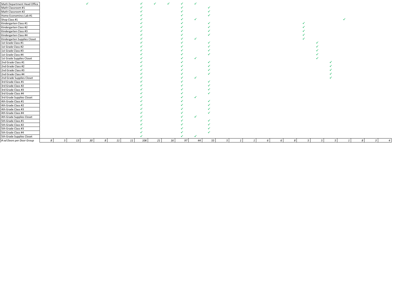| Math Department Head Office<br>Math Classroom #1<br>Math Classroom #2                                              |   |   |    |                 |    |    |     |    | $\checkmark$ |    |    |    |   |  |   |   |    |    |    |                  |  |
|--------------------------------------------------------------------------------------------------------------------|---|---|----|-----------------|----|----|-----|----|--------------|----|----|----|---|--|---|---|----|----|----|------------------|--|
|                                                                                                                    |   |   |    |                 |    |    |     |    |              |    |    |    |   |  |   |   |    |    |    |                  |  |
|                                                                                                                    |   |   |    |                 |    |    |     |    |              |    |    |    |   |  |   |   |    |    |    |                  |  |
| Home Economincs Lab #1<br>Shop Class #1<br>Kindergarten Class #1<br>Kindergarten Class #2<br>Kindergarten Class #2 |   |   |    |                 |    |    |     |    |              |    |    |    |   |  |   |   |    |    |    |                  |  |
|                                                                                                                    |   |   |    |                 |    |    |     |    |              |    |    |    |   |  |   |   |    |    |    |                  |  |
|                                                                                                                    |   |   |    |                 |    |    |     |    |              |    |    |    |   |  |   |   |    |    |    |                  |  |
|                                                                                                                    |   |   |    |                 |    |    |     |    |              |    |    |    |   |  |   |   |    |    |    |                  |  |
|                                                                                                                    |   |   |    |                 |    |    |     |    |              |    |    |    |   |  |   |   |    |    |    |                  |  |
| Kindergarten Class #4                                                                                              |   |   |    |                 |    |    |     |    |              |    |    |    |   |  |   |   |    |    |    |                  |  |
| Kindergarten Supplies Closet                                                                                       |   |   |    |                 |    |    |     |    |              |    |    |    |   |  |   |   |    |    |    |                  |  |
| 1st Grade Class #1                                                                                                 |   |   |    |                 |    |    |     |    |              |    |    |    |   |  |   |   |    |    |    |                  |  |
| 1st Grade Class #2                                                                                                 |   |   |    |                 |    |    |     |    |              |    |    |    |   |  |   |   |    |    |    |                  |  |
| 1st Grade Class #3                                                                                                 |   |   |    |                 |    |    |     |    |              |    |    |    |   |  |   |   |    |    |    |                  |  |
| 1st Grade Class #4                                                                                                 |   |   |    |                 |    |    |     |    |              |    |    |    |   |  |   |   |    |    |    |                  |  |
| 1st Grade Supplies Closet                                                                                          |   |   |    |                 |    |    |     |    |              |    |    |    |   |  |   |   |    |    |    |                  |  |
| 2nd Grade Class #1                                                                                                 |   |   |    |                 |    |    |     |    |              |    |    |    |   |  |   |   |    |    |    |                  |  |
| 2nd Grade Class #2                                                                                                 |   |   |    |                 |    |    |     |    |              |    |    |    |   |  |   |   |    |    |    |                  |  |
| 2nd Grade Class #3                                                                                                 |   |   |    |                 |    |    |     |    |              |    |    |    |   |  |   |   |    |    |    |                  |  |
| 2nd Grade Class #4                                                                                                 |   |   |    |                 |    |    |     |    |              |    |    |    |   |  |   |   |    |    |    |                  |  |
| 2nd Grade Supplies Closet                                                                                          |   |   |    |                 |    |    |     |    |              |    |    |    |   |  |   |   |    |    |    |                  |  |
| 3rd Grade Class #1                                                                                                 |   |   |    |                 |    |    |     |    |              |    |    |    |   |  |   |   |    |    |    |                  |  |
| 3rd Grade Class #2                                                                                                 |   |   |    |                 |    |    |     |    |              |    |    |    |   |  |   |   |    |    |    |                  |  |
| 3rd Grade Class #3                                                                                                 |   |   |    |                 |    |    |     |    |              |    |    |    |   |  |   |   |    |    |    |                  |  |
| 3rd Grade Class #4                                                                                                 |   |   |    |                 |    |    |     |    |              |    |    |    |   |  |   |   |    |    |    |                  |  |
| 3rd Grade Supplies Closet                                                                                          |   |   |    |                 |    |    |     |    |              |    |    |    |   |  |   |   |    |    |    |                  |  |
| 4th Grade Class #1                                                                                                 |   |   |    |                 |    |    |     |    |              |    |    |    |   |  |   |   |    |    |    |                  |  |
| 4th Grade Class #2                                                                                                 |   |   |    |                 |    |    |     |    |              |    |    |    |   |  |   |   |    |    |    |                  |  |
| 4th Grade Class #3                                                                                                 |   |   |    |                 |    |    |     |    |              |    |    |    |   |  |   |   |    |    |    |                  |  |
| 4th Grade Class #4                                                                                                 |   |   |    |                 |    |    |     |    |              |    |    |    |   |  |   |   |    |    |    |                  |  |
| 4th Grade Supplies Closet                                                                                          |   |   |    |                 |    |    |     |    |              |    |    |    |   |  |   |   |    |    |    |                  |  |
| 5th Grade Class #1                                                                                                 |   |   |    |                 |    |    |     |    |              |    |    |    |   |  |   |   |    |    |    |                  |  |
| 5th Grade Class #2                                                                                                 |   |   |    |                 |    |    |     |    |              |    |    |    |   |  |   |   |    |    |    |                  |  |
| 5th Grade Class #3                                                                                                 |   |   |    |                 |    |    |     |    |              |    |    |    |   |  |   |   |    |    |    |                  |  |
| 5th Grade Class #4                                                                                                 |   |   |    |                 |    |    |     |    |              |    |    |    |   |  |   |   |    |    |    |                  |  |
| 5th Grade Supplies Closet                                                                                          |   |   |    |                 |    |    |     |    |              |    |    |    |   |  |   |   |    |    |    |                  |  |
| # od Doors per Door Group                                                                                          | 8 | 5 | 13 | 30 <sub>1</sub> | 11 | 11 | 106 | 21 | 16           | 97 | 44 | 55 | 5 |  | 6 | 8 | -5 | -5 | .5 | $\boldsymbol{s}$ |  |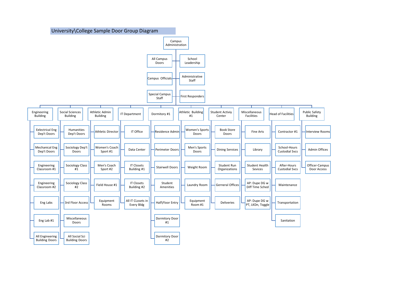#### University\College Sample Door Group Diagram

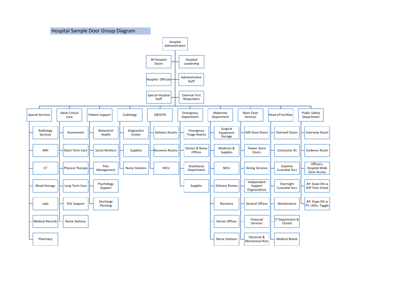Hospital Sample Door Group Diagram

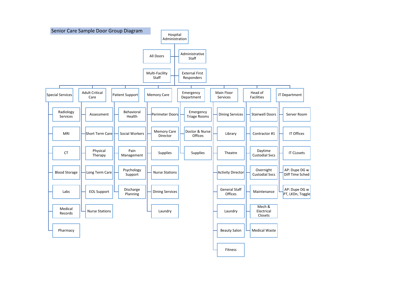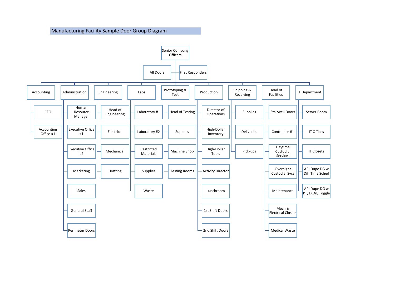#### Manufacturing Facility Sample Door Group Diagram

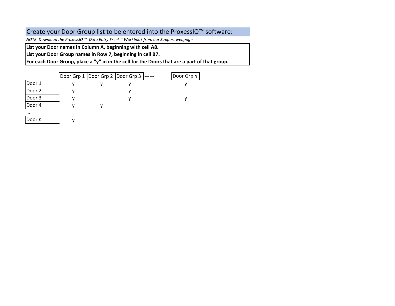## Create your Door Group list to be entered into the ProxessIQ™ software:

*NOTE: Download the ProxessIQ ™ Data Entry Excel* ™ *Workbook from our Support webpage*

**List your Door names in Column A, beginning with cell A8.** 

**List your Door Group names in Row 7, beginning in cell B7.**

**For each Door Group, place a "y" in in the cell for the Doors that are a part of that group.**

|        |  | Door Grp 1   Door Grp 2   Door Grp 3  ------ | Door Grp n |
|--------|--|----------------------------------------------|------------|
| Door 1 |  |                                              |            |
| Door 2 |  |                                              |            |
| Door 3 |  |                                              |            |
| Door 4 |  |                                              |            |
|        |  |                                              |            |
| Door n |  |                                              |            |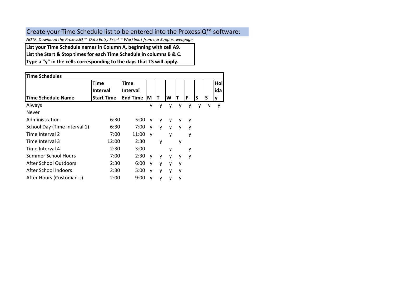## Create your Time Schedule list to be entered into the ProxessIQ™ software:

*NOTE: Download the ProxessIQ ™ Data Entry Excel* ™ *Workbook from our Support webpage*

**List your Time Schedule names in Column A, beginning with cell A9.** 

**List the Start & Stop times for each Time Schedule in columns B & C.**

**Type a "y" in the cells corresponding to the days that TS will apply.**

| <b>Time Schedules</b>        |                   |                 |              |   |   |   |   |   |   |          |  |  |  |  |  |
|------------------------------|-------------------|-----------------|--------------|---|---|---|---|---|---|----------|--|--|--|--|--|
|                              | Time              | <b>Time</b>     |              |   |   |   |   |   |   | Hol      |  |  |  |  |  |
|                              | <b>Interval</b>   | <b>Interval</b> |              |   |   |   |   |   |   | ida      |  |  |  |  |  |
| Time Schedule Name           | <b>Start Time</b> | <b>End Time</b> | ΙM           | Т | W |   | F | S | S | <b>y</b> |  |  |  |  |  |
| Always                       |                   |                 | у            | у | у | у | у | у |   | y        |  |  |  |  |  |
| Never                        |                   |                 |              |   |   |   |   |   |   |          |  |  |  |  |  |
| Administration               | 6:30              | 5:00            | v            | у | v | у | y |   |   |          |  |  |  |  |  |
| School Day (Time Interval 1) | 6:30              | 7:00            | v            | v | v | v | y |   |   |          |  |  |  |  |  |
| Time Interval 2              | 7:00              | 11:00           | $\mathsf{v}$ |   | V |   | у |   |   |          |  |  |  |  |  |
| Time Interval 3              | 12:00             | 2:30            |              | V |   | у |   |   |   |          |  |  |  |  |  |
| Time Interval 4              | 2:30              | 3:00            |              |   | ۷ |   | у |   |   |          |  |  |  |  |  |
| Summer School Hours          | 7:00              | 2:30            | $\mathsf{v}$ | ۷ | ۷ | y | y |   |   |          |  |  |  |  |  |
| After School Outdoors        | 2:30              | 6:00            | v            | ۷ | у | y |   |   |   |          |  |  |  |  |  |
| After School Indoors         | 2:30              | 5:00            | $\mathsf{v}$ | ۷ | ٧ | y |   |   |   |          |  |  |  |  |  |
| After Hours (Custodian)      | 2:00              | 9:00            | ۷            | y | у | у |   |   |   |          |  |  |  |  |  |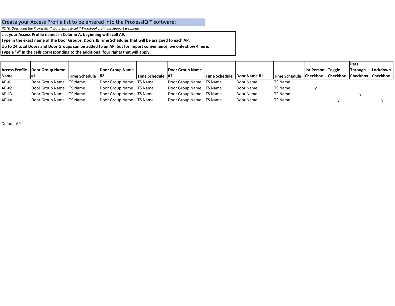#### Create your Access Profile list to be entered into the ProxessIQ™ software:

*NOTE: Download the ProxessIQ ™ Data Entry Excel* ™ *Workbook from our Support webpage*

**List your Access Profile names in Column A, beginning with cell A9.** 

**Type in the exact name of the Door Groups, Doors & Time Schedules that will be assigned to each AP.**

**Up to 24 total Doors and Door Groups can be added to an AP, but for import convenience, we only show 4 here.**

**Type a "y" in the cells corresponding to the additional four rights that will apply.**

|             |                                |                  |                         |                         |                         |                                     |           |                               |                          |                                      | <b>Pass</b>    |          |
|-------------|--------------------------------|------------------|-------------------------|-------------------------|-------------------------|-------------------------------------|-----------|-------------------------------|--------------------------|--------------------------------------|----------------|----------|
|             | Access Profile Door Group Name |                  | Door Group Name         |                         | Door Group Name         |                                     |           |                               | <b>1st Person Toggle</b> |                                      | <b>Through</b> | Lockdown |
| <b>Name</b> |                                | Time Schedule #2 |                         | <b>Time Schedule #3</b> |                         | <b>Time Schedule   Door Name #1</b> |           | <b>Time Schedule Checkbox</b> |                          | <b>ICheckbox ICheckbox ICheckbox</b> |                |          |
| AP #1       | Door Group Name TS Name        |                  | Door Group Name TS Name |                         | Door Group Name TS Name |                                     | Door Name | TS Name                       |                          |                                      |                |          |
| AP #2       | Door Group Name TS Name        |                  | Door Group Name TS Name |                         | Door Group Name TS Name |                                     | Door Name | TS Name                       |                          |                                      |                |          |
| AP #3       | Door Group Name TS Name        |                  | Door Group Name TS Name |                         | Door Group Name TS Name |                                     | Door Name | TS Name                       |                          |                                      |                |          |
| AP #4       | Door Group Name TS Name        |                  | Door Group Name TS Name |                         | Door Group Name TS Name |                                     | Door Name | TS Name                       |                          |                                      |                |          |

Default AP